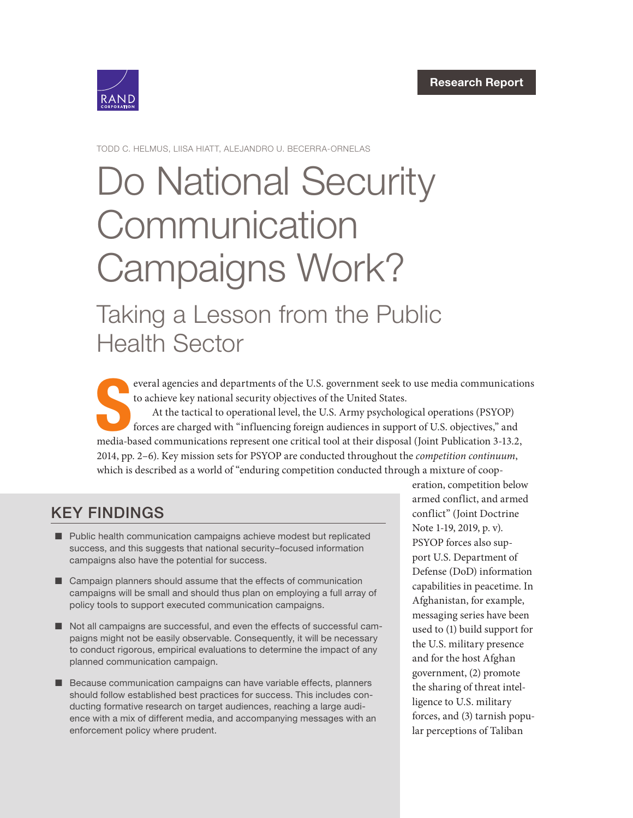

TODD C. HELMUS, LIISA HIATT, ALEJANDRO U. BECERRA-ORNELAS

# [Do National Security](https://www.rand.org/pubs/research_reports/RRA766-1.html)  **Communication** Campaigns Work? Taking a Lesson from the Public

Health Sector

S everal agencies and departments of the U.S. government seek to use media communications to achieve key national security objectives of the United States. At the tactical to operational level, the U.S. Army psychological operations (PSYOP) forces are charged with "influencing foreign audiences in support of U.S. objectives," and

media-based communications represent one critical tool at their disposal (Joint Publication 3-13.2, 2014, pp. 2–6). Key mission sets for PSYOP are conducted throughout the competition continuum, which is described as a world of "enduring competition conducted through a mixture of coop-

# KEY FINDINGS

- **D** Public health communication campaigns achieve modest but replicated success, and this suggests that national security–focused information campaigns also have the potential for success.
- $\Box$  Campaign planners should assume that the effects of communication campaigns will be small and should thus plan on employing a full array of policy tools to support executed communication campaigns.
- $\blacksquare$  Not all campaigns are successful, and even the effects of successful campaigns might not be easily observable. Consequently, it will be necessary to conduct rigorous, empirical evaluations to determine the impact of any planned communication campaign.
- Because communication campaigns can have variable effects, planners should follow established best practices for success. This includes conducting formative research on target audiences, reaching a large audience with a mix of different media, and accompanying messages with an enforcement policy where prudent.

eration, competition below armed conflict, and armed conflict" (Joint Doctrine Note 1-19, 2019, p. v). PSYOP forces also support U.S. Department of Defense (DoD) information capabilities in peacetime. In Afghanistan, for example, messaging series have been used to (1) build support for the U.S. military presence and for the host Afghan government, (2) promote the sharing of threat intelligence to U.S. military forces, and (3) tarnish popular perceptions of Taliban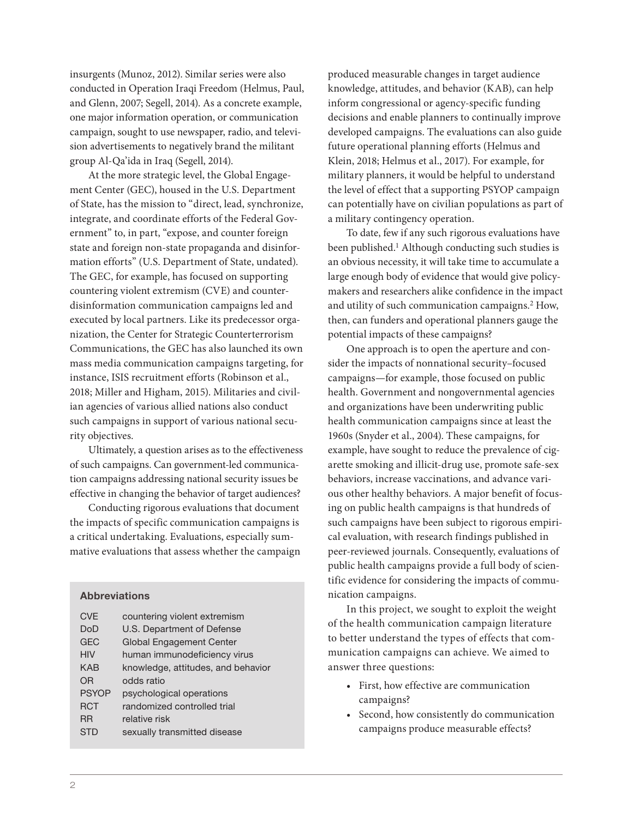insurgents (Munoz, 2012). Similar series were also conducted in Operation Iraqi Freedom (Helmus, Paul, and Glenn, 2007; Segell, 2014). As a concrete example, one major information operation, or communication campaign, sought to use newspaper, radio, and television advertisements to negatively brand the militant group Al-Qa'ida in Iraq (Segell, 2014).

At the more strategic level, the Global Engagement Center (GEC), housed in the U.S. Department of State, has the mission to "direct, lead, synchronize, integrate, and coordinate efforts of the Federal Government" to, in part, "expose, and counter foreign state and foreign non-state propaganda and disinformation efforts" (U.S. Department of State, undated). The GEC, for example, has focused on supporting countering violent extremism (CVE) and counterdisinformation communication campaigns led and executed by local partners. Like its predecessor organization, the Center for Strategic Counterterrorism Communications, the GEC has also launched its own mass media communication campaigns targeting, for instance, ISIS recruitment efforts (Robinson et al., 2018; Miller and Higham, 2015). Militaries and civilian agencies of various allied nations also conduct such campaigns in support of various national security objectives.

Ultimately, a question arises as to the effectiveness of such campaigns. Can government-led communication campaigns addressing national security issues be effective in changing the behavior of target audiences?

Conducting rigorous evaluations that document the impacts of specific communication campaigns is a critical undertaking. Evaluations, especially summative evaluations that assess whether the campaign

#### Abbreviations

| <b>CVF</b>   | countering violent extremism       |
|--------------|------------------------------------|
| DoD          | U.S. Department of Defense         |
| <b>GEC</b>   | <b>Global Engagement Center</b>    |
| <b>HIV</b>   | human immunodeficiency virus       |
| <b>KAB</b>   | knowledge, attitudes, and behavior |
| OR           | odds ratio                         |
| <b>PSYOP</b> | psychological operations           |
| <b>RCT</b>   | randomized controlled trial        |
| <b>RR</b>    | relative risk                      |
| STD          | sexually transmitted disease       |
|              |                                    |

produced measurable changes in target audience knowledge, attitudes, and behavior (KAB), can help inform congressional or agency-specific funding decisions and enable planners to continually improve developed campaigns. The evaluations can also guide future operational planning efforts (Helmus and Klein, 2018; Helmus et al., 2017). For example, for military planners, it would be helpful to understand the level of effect that a supporting PSYOP campaign can potentially have on civilian populations as part of a military contingency operation.

To date, few if any such rigorous evaluations have been published.<sup>1</sup> Although conducting such studies is an obvious necessity, it will take time to accumulate a large enough body of evidence that would give policymakers and researchers alike confidence in the impact and utility of such communication campaigns.2 How, then, can funders and operational planners gauge the potential impacts of these campaigns?

One approach is to open the aperture and consider the impacts of nonnational security–focused campaigns—for example, those focused on public health. Government and nongovernmental agencies and organizations have been underwriting public health communication campaigns since at least the 1960s (Snyder et al., 2004). These campaigns, for example, have sought to reduce the prevalence of cigarette smoking and illicit-drug use, promote safe-sex behaviors, increase vaccinations, and advance various other healthy behaviors. A major benefit of focusing on public health campaigns is that hundreds of such campaigns have been subject to rigorous empirical evaluation, with research findings published in peer-reviewed journals. Consequently, evaluations of public health campaigns provide a full body of scientific evidence for considering the impacts of communication campaigns.

In this project, we sought to exploit the weight of the health communication campaign literature to better understand the types of effects that communication campaigns can achieve. We aimed to answer three questions:

- First, how effective are communication campaigns?
- Second, how consistently do communication campaigns produce measurable effects?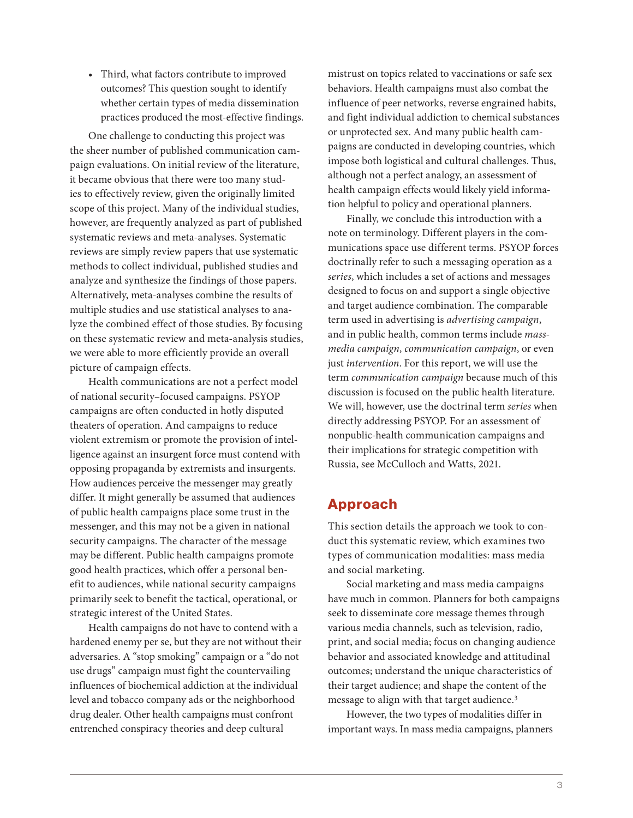• Third, what factors contribute to improved outcomes? This question sought to identify whether certain types of media dissemination practices produced the most-effective findings.

One challenge to conducting this project was the sheer number of published communication campaign evaluations. On initial review of the literature, it became obvious that there were too many studies to effectively review, given the originally limited scope of this project. Many of the individual studies, however, are frequently analyzed as part of published systematic reviews and meta-analyses. Systematic reviews are simply review papers that use systematic methods to collect individual, published studies and analyze and synthesize the findings of those papers. Alternatively, meta-analyses combine the results of multiple studies and use statistical analyses to analyze the combined effect of those studies. By focusing on these systematic review and meta-analysis studies, we were able to more efficiently provide an overall picture of campaign effects.

Health communications are not a perfect model of national security–focused campaigns. PSYOP campaigns are often conducted in hotly disputed theaters of operation. And campaigns to reduce violent extremism or promote the provision of intelligence against an insurgent force must contend with opposing propaganda by extremists and insurgents. How audiences perceive the messenger may greatly differ. It might generally be assumed that audiences of public health campaigns place some trust in the messenger, and this may not be a given in national security campaigns. The character of the message may be different. Public health campaigns promote good health practices, which offer a personal benefit to audiences, while national security campaigns primarily seek to benefit the tactical, operational, or strategic interest of the United States.

Health campaigns do not have to contend with a hardened enemy per se, but they are not without their adversaries. A "stop smoking" campaign or a "do not use drugs" campaign must fight the countervailing influences of biochemical addiction at the individual level and tobacco company ads or the neighborhood drug dealer. Other health campaigns must confront entrenched conspiracy theories and deep cultural

mistrust on topics related to vaccinations or safe sex behaviors. Health campaigns must also combat the influence of peer networks, reverse engrained habits, and fight individual addiction to chemical substances or unprotected sex. And many public health campaigns are conducted in developing countries, which impose both logistical and cultural challenges. Thus, although not a perfect analogy, an assessment of health campaign effects would likely yield information helpful to policy and operational planners.

Finally, we conclude this introduction with a note on terminology. Different players in the communications space use different terms. PSYOP forces doctrinally refer to such a messaging operation as a series, which includes a set of actions and messages designed to focus on and support a single objective and target audience combination. The comparable term used in advertising is advertising campaign, and in public health, common terms include massmedia campaign, communication campaign, or even just intervention. For this report, we will use the term communication campaign because much of this discussion is focused on the public health literature. We will, however, use the doctrinal term series when directly addressing PSYOP. For an assessment of nonpublic-health communication campaigns and their implications for strategic competition with Russia, see McCulloch and Watts, 2021.

### Approach

This section details the approach we took to conduct this systematic review, which examines two types of communication modalities: mass media and social marketing.

Social marketing and mass media campaigns have much in common. Planners for both campaigns seek to disseminate core message themes through various media channels, such as television, radio, print, and social media; focus on changing audience behavior and associated knowledge and attitudinal outcomes; understand the unique characteristics of their target audience; and shape the content of the message to align with that target audience.3

However, the two types of modalities differ in important ways. In mass media campaigns, planners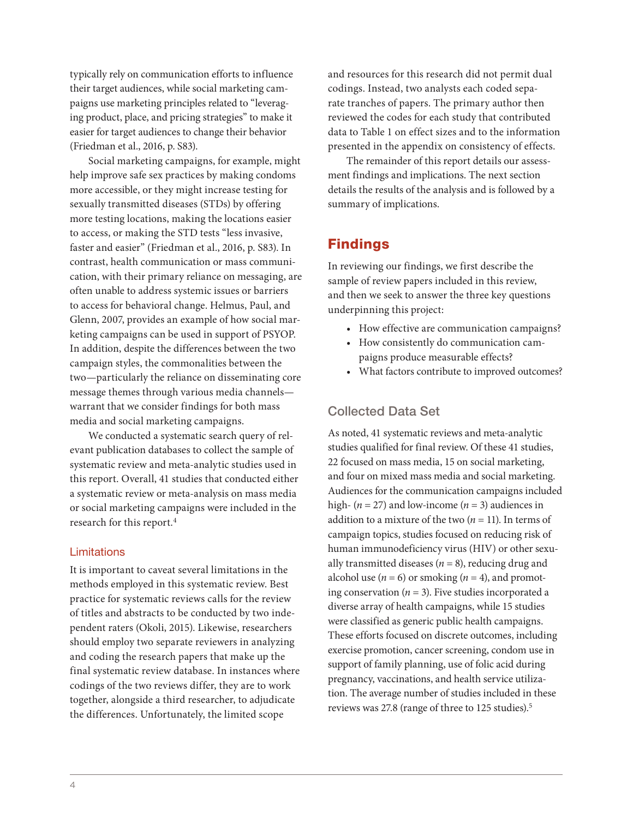typically rely on communication efforts to influence their target audiences, while social marketing campaigns use marketing principles related to "leveraging product, place, and pricing strategies" to make it easier for target audiences to change their behavior ( Friedman et al., 2016, p. S83).

Social marketing campaigns, for example, might help improve safe sex practices by making condoms more accessible, or they might increase testing for sexually transmitted diseases (STDs) by offering more testing locations, making the locations easier to access, or making the STD tests "less invasive, faster and easier" (Friedman et al., 2016, p. S83). In contrast, health communication or mass communication, with their primary reliance on messaging, are often unable to address systemic issues or barriers to access for behavioral change. Helmus, Paul, and Glenn, 2007, provides an example of how social marketing campaigns can be used in support of PSYOP. In addition, despite the differences between the two campaign styles, the commonalities between the two—particularly the reliance on disseminating core message themes through various media channels warrant that we consider findings for both mass media and social marketing campaigns.

We conducted a systematic search query of relevant publication databases to collect the sample of systematic review and meta-analytic studies used in this report. Overall, 41 studies that conducted either a systematic review or meta-analysis on mass media or social marketing campaigns were included in the research for this report.4

#### **Limitations**

It is important to caveat several limitations in the methods employed in this systematic review. Best practice for systematic reviews calls for the review of titles and abstracts to be conducted by two independent raters (Okoli, 2015). Likewise, researchers should employ two separate reviewers in analyzing and coding the research papers that make up the final systematic review database. In instances where codings of the two reviews differ, they are to work together, alongside a third researcher, to adjudicate the differences. Unfortunately, the limited scope

and resources for this research did not permit dual codings. Instead, two analysts each coded separate tranches of papers. The primary author then reviewed the codes for each study that contributed data to Table 1 on effect sizes and to the information presented in the appendix on consistency of effects.

The remainder of this report details our assessment findings and implications. The next section details the results of the analysis and is followed by a summary of implications.

#### Findings

In reviewing our findings, we first describe the sample of review papers included in this review, and then we seek to answer the three key questions underpinning this project:

- How effective are communication campaigns?
- How consistently do communication campaigns produce measurable effects?
- What factors contribute to improved outcomes?

#### Collected Data Set

As noted, 41 systematic reviews and meta-analytic studies qualified for final review. Of these 41 studies, 22 focused on mass media, 15 on social marketing, and four on mixed mass media and social marketing. Audiences for the communication campaigns included high-  $(n = 27)$  and low-income  $(n = 3)$  audiences in addition to a mixture of the two  $(n = 11)$ . In terms of campaign topics, studies focused on reducing risk of human immunodeficiency virus (HIV) or other sexually transmitted diseases ( $n = 8$ ), reducing drug and alcohol use  $(n = 6)$  or smoking  $(n = 4)$ , and promoting conservation ( $n = 3$ ). Five studies incorporated a diverse array of health campaigns, while 15 studies were classified as generic public health campaigns. These efforts focused on discrete outcomes, including exercise promotion, cancer screening, condom use in support of family planning, use of folic acid during pregnancy, vaccinations, and health service utilization. The average number of studies included in these reviews was 27.8 (range of three to 125 studies).5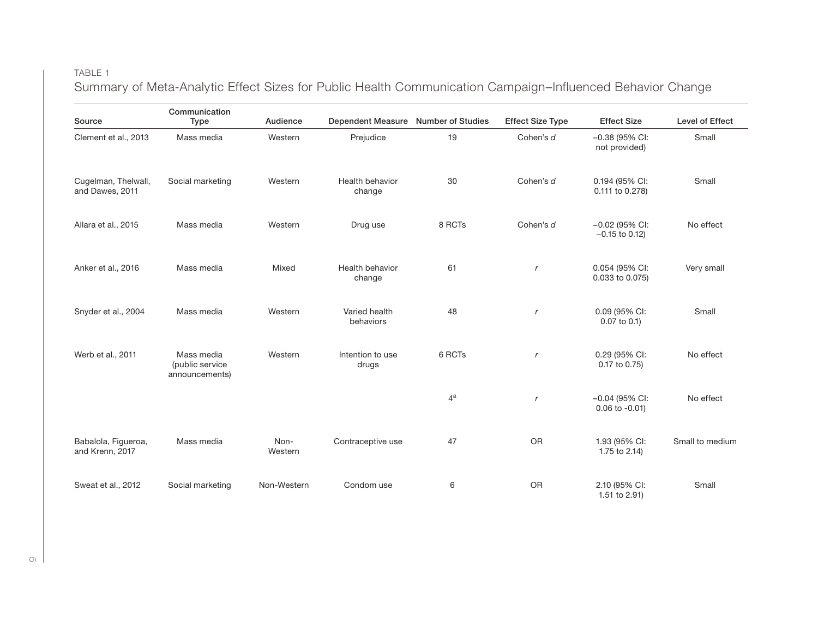#### TABLE 1

Summary of Meta-Analytic Effect Sizes for Public Health Communication Campaign–Influenced Behavior Change

| Source                                 | Communication<br><b>Type</b>                    | Audience        | Dependent Measure Number of Studies |        | <b>Effect Size Type</b> | <b>Effect Size</b>                      | Level of Effect |
|----------------------------------------|-------------------------------------------------|-----------------|-------------------------------------|--------|-------------------------|-----------------------------------------|-----------------|
| Clement et al., 2013                   | Mass media                                      | Western         | Prejudice                           | 19     | Cohen's d               | $-0.38$ (95% CI:<br>not provided)       | Small           |
| Cugelman, Thelwall,<br>and Dawes, 2011 | Social marketing                                | Western         | Health behavior<br>change           | 30     | Cohen's d               | 0.194 (95% CI:<br>0.111 to 0.278)       | Small           |
| Allara et al., 2015                    | Mass media                                      | Western         | Drug use                            | 8 RCTs | Cohen's d               | $-0.02$ (95% CI:<br>$-0.15$ to 0.12)    | No effect       |
| Anker et al., 2016                     | Mass media                                      | Mixed           | Health behavior<br>change           | 61     | $\boldsymbol{r}$        | 0.054 (95% CI:<br>0.033 to 0.075)       | Very small      |
| Snyder et al., 2004                    | Mass media                                      | Western         | Varied health<br>behaviors          | 48     | $\mathbf{r}$            | 0.09 (95% CI:<br>$0.07$ to $0.1$ )      | Small           |
| Werb et al., 2011                      | Mass media<br>(public service<br>announcements) | Western         | Intention to use<br>drugs           | 6 RCTs | $\mathsf{r}$            | 0.29 (95% CI:<br>0.17 to 0.75)          | No effect       |
|                                        |                                                 |                 |                                     | $4^a$  | $\boldsymbol{r}$        | $-0.04$ (95% CI:<br>$0.06$ to $-0.01$ ) | No effect       |
| Babalola, Figueroa,<br>and Krenn, 2017 | Mass media                                      | Non-<br>Western | Contraceptive use                   | 47     | <b>OR</b>               | 1.93 (95% CI:<br>1.75 to 2.14)          | Small to medium |
| Sweat et al., 2012                     | Social marketing                                | Non-Western     | Condom use                          | 6      | <b>OR</b>               | 2.10 (95% CI:<br>1.51 to 2.91)          | Small           |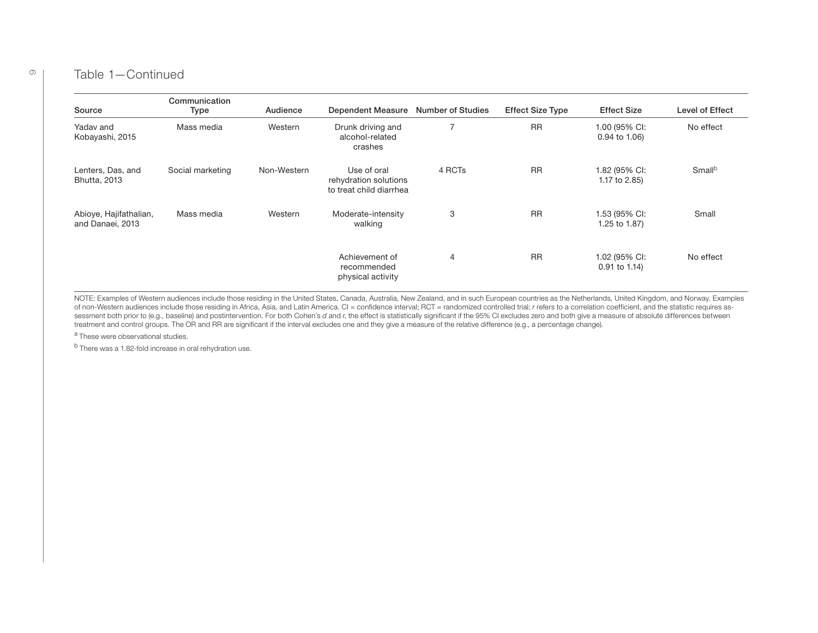#### Table 1—Continued

| Source                                     | Communication<br>Type | Audience    | Dependent Measure                                               | <b>Number of Studies</b> | <b>Effect Size Type</b> | <b>Effect Size</b>               | Level of Effect    |
|--------------------------------------------|-----------------------|-------------|-----------------------------------------------------------------|--------------------------|-------------------------|----------------------------------|--------------------|
| Yaday and<br>Kobayashi, 2015               | Mass media            | Western     | Drunk driving and<br>alcohol-related<br>crashes                 | $\overline{7}$           | <b>RR</b>               | 1.00 (95% CI:<br>0.94 to 1.06)   | No effect          |
| Lenters, Das, and<br><b>Bhutta, 2013</b>   | Social marketing      | Non-Western | Use of oral<br>rehydration solutions<br>to treat child diarrhea | 4 RCTs                   | <b>RR</b>               | 1.82 (95% CI:<br>1.17 to 2.85)   | Small <sup>b</sup> |
| Abioye, Hajifathalian,<br>and Danaei, 2013 | Mass media            | Western     | Moderate-intensity<br>walking                                   | 3                        | <b>RR</b>               | 1.53 (95% CI:<br>1.25 to 1.87)   | Small              |
|                                            |                       |             | Achievement of<br>recommended<br>physical activity              | $\overline{4}$           | <b>RR</b>               | 1.02 (95% CI:<br>$0.91$ to 1.14) | No effect          |

NOTE: Examples of Western audiences include those residing in the United States, Canada, Australia, New Zealand, and in such European countries as the Netherlands, United Kingdom, and Norway. Examples of non-Western audiences include those residing in Africa, Asia, and Latin America. CI = confidence interval; RCT = randomized controlled trial; r refers to a correlation coefficient, and the statistic requires assessment both prior to (e.g., baseline) and postintervention. For both Cohen's d and r, the effect is statistically significant if the 95% CI excludes zero and both give a measure of absolute differences between treatment and control groups. The OR and RR are significant if the interval excludes one and they give a measure of the relative difference (e.g., a percentage change).

a These were observational studies.

b There was a 1.82-fold increase in oral rehydration use.

 $\circ$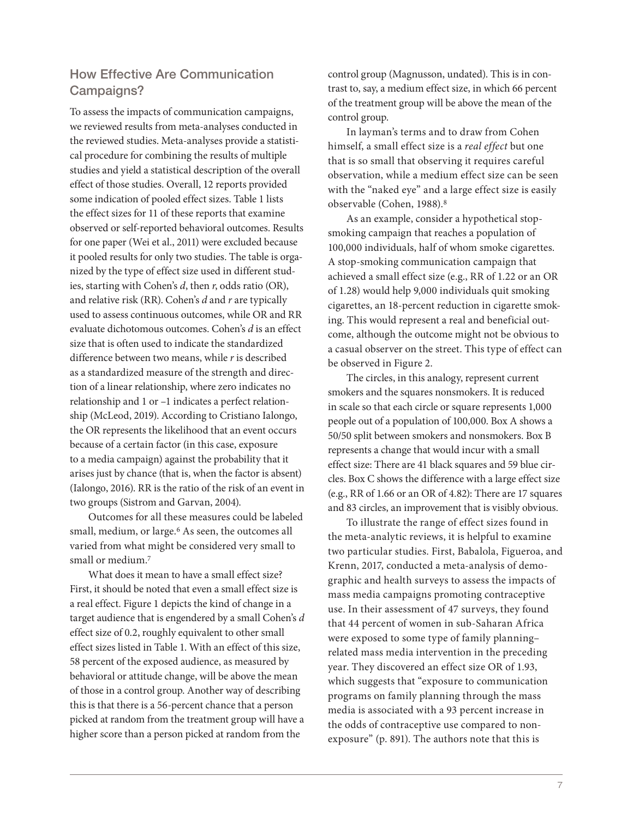#### How Effective Are Communication Campaigns?

To assess the impacts of communication campaigns, we reviewed results from meta-analyses conducted in the reviewed studies. Meta-analyses provide a statistical procedure for combining the results of multiple studies and yield a statistical description of the overall effect of those studies. Overall, 12 reports provided some indication of pooled effect sizes. Table 1 lists the effect sizes for 11 of these reports that examine observed or self-reported behavioral outcomes. Results for one paper (Wei et al., 2011) were excluded because it pooled results for only two studies. The table is organized by the type of effect size used in different studies, starting with Cohen's  $d$ , then  $r$ , odds ratio (OR), and relative risk (RR). Cohen's  $d$  and  $r$  are typically used to assess continuous outcomes, while OR and RR evaluate dichotomous outcomes. Cohen's d is an effect size that is often used to indicate the standardized difference between two means, while  $r$  is described as a standardized measure of the strength and direction of a linear relationship, where zero indicates no relationship and 1 or –1 indicates a perfect relationship (McLeod, 2019). According to Cristiano Ialongo, the OR represents the likelihood that an event occurs because of a certain factor (in this case, exposure to a media campaign) against the probability that it arises just by chance (that is, when the factor is absent) (Ialongo, 2016). RR is the ratio of the risk of an event in two groups (Sistrom and Garvan, 2004).

Outcomes for all these measures could be labeled small, medium, or large.<sup>6</sup> As seen, the outcomes all varied from what might be considered very small to small or medium.7

What does it mean to have a small effect size? First, it should be noted that even a small effect size is a real effect. Figure 1 depicts the kind of change in a target audience that is engendered by a small Cohen's d effect size of 0.2, roughly equivalent to other small effect sizes listed in Table 1. With an effect of this size, 58 percent of the exposed audience, as measured by behavioral or attitude change, will be above the mean of those in a control group. Another way of describing this is that there is a 56-percent chance that a person picked at random from the treatment group will have a higher score than a person picked at random from the

control group (Magnusson, undated). This is in contrast to, say, a medium effect size, in which 66 percent of the treatment group will be above the mean of the control group.

In layman's terms and to draw from Cohen himself, a small effect size is a real effect but one that is so small that observing it requires careful observation, while a medium effect size can be seen with the "naked eye" and a large effect size is easily observable (Cohen, 1988).8

As an example, consider a hypothetical stopsmoking campaign that reaches a population of 100,000 individuals, half of whom smoke cigarettes. A stop-smoking communication campaign that achieved a small effect size (e.g., RR of 1.22 or an OR of 1.28) would help 9,000 individuals quit smoking cigarettes, an 18-percent reduction in cigarette smoking. This would represent a real and beneficial outcome, although the outcome might not be obvious to a casual observer on the street. This type of effect can be observed in Figure 2.

The circles, in this analogy, represent current smokers and the squares nonsmokers. It is reduced in scale so that each circle or square represents 1,000 people out of a population of 100,000. Box A shows a 50/50 split between smokers and nonsmokers. Box B represents a change that would incur with a small effect size: There are 41 black squares and 59 blue circles. Box C shows the difference with a large effect size (e.g., RR of 1.66 or an OR of 4.82): There are 17 squares and 83 circles, an improvement that is visibly obvious.

To illustrate the range of effect sizes found in the meta-analytic reviews, it is helpful to examine two particular studies. First, Babalola, Figueroa, and Krenn, 2017, conducted a meta-analysis of demographic and health surveys to assess the impacts of mass media campaigns promoting contraceptive use. In their assessment of 47 surveys, they found that 44 percent of women in sub-Saharan Africa were exposed to some type of family planning– related mass media intervention in the preceding year. They discovered an effect size OR of 1.93, which suggests that "exposure to communication programs on family planning through the mass media is associated with a 93 percent increase in the odds of contraceptive use compared to nonexposure" (p. 891). The authors note that this is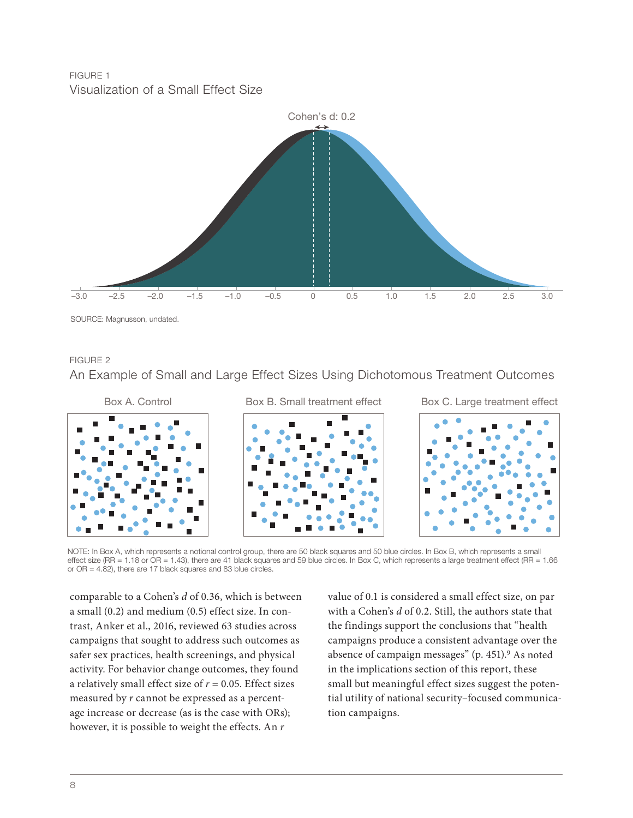#### FIGURE 1 Visualization of a Small Effect Size



#### FIGURE 2

An Example of Small and Large Effect Sizes Using Dichotomous Treatment Outcomes



NOTE: In Box A, which represents a notional control group, there are 50 black squares and 50 blue circles. In Box B, which represents a small effect size (RR = 1.18 or OR = 1.43), there are 41 black squares and 59 blue circles. In Box C, which represents a large treatment effect (RR = 1.66 or OR = 4.82), there are 17 black squares and 83 blue circles.

comparable to a Cohen's d of 0.36, which is between a small (0.2) and medium (0.5) effect size. In contrast, Anker et al., 2016, reviewed 63 studies across campaigns that sought to address such outcomes as safer sex practices, health screenings, and physical activity. For behavior change outcomes, they found a relatively small effect size of  $r = 0.05$ . Effect sizes measured by r cannot be expressed as a percentage increase or decrease (as is the case with ORs); however, it is possible to weight the effects. An  $r$ 

value of 0.1 is considered a small effect size, on par with a Cohen's d of 0.2. Still, the authors state that the findings support the conclusions that "health campaigns produce a consistent advantage over the absence of campaign messages" (p. 451).<sup>9</sup> As noted in the implications section of this report, these small but meaningful effect sizes suggest the potential utility of national security–focused communication campaigns.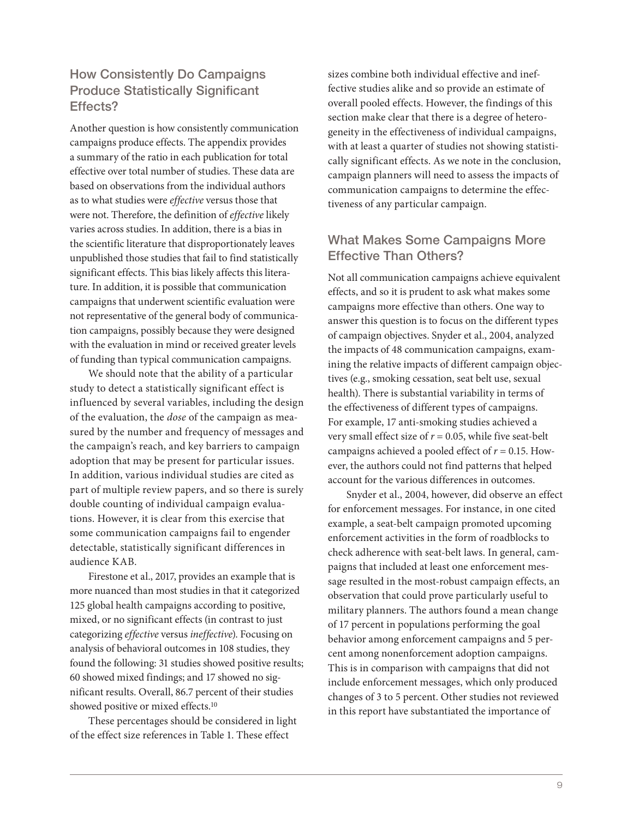### How Consistently Do Campaigns Produce Statistically Significant Effects?

Another question is how consistently communication campaigns produce effects. The appendix provides a summary of the ratio in each publication for total effective over total number of studies. These data are based on observations from the individual authors as to what studies were effective versus those that were not. Therefore, the definition of effective likely varies across studies. In addition, there is a bias in the scientific literature that disproportionately leaves unpublished those studies that fail to find statistically significant effects. This bias likely affects this literature. In addition, it is possible that communication campaigns that underwent scientific evaluation were not representative of the general body of communication campaigns, possibly because they were designed with the evaluation in mind or received greater levels of funding than typical communication campaigns.

We should note that the ability of a particular study to detect a statistically significant effect is influenced by several variables, including the design of the evaluation, the dose of the campaign as measured by the number and frequency of messages and the campaign's reach, and key barriers to campaign adoption that may be present for particular issues. In addition, various individual studies are cited as part of multiple review papers, and so there is surely double counting of individual campaign evaluations. However, it is clear from this exercise that some communication campaigns fail to engender detectable, statistically significant differences in audience KAB.

Firestone et al., 2017, provides an example that is more nuanced than most studies in that it categorized 125 global health campaigns according to positive, mixed, or no significant effects (in contrast to just categorizing effective versus ineffective). Focusing on analysis of behavioral outcomes in 108 studies, they found the following: 31 studies showed positive results; 60 showed mixed findings; and 17 showed no significant results. Overall, 86.7 percent of their studies showed positive or mixed effects.10

These percentages should be considered in light of the effect size references in Table 1. These effect

sizes combine both individual effective and ineffective studies alike and so provide an estimate of overall pooled effects. However, the findings of this section make clear that there is a degree of heterogeneity in the effectiveness of individual campaigns, with at least a quarter of studies not showing statistically significant effects. As we note in the conclusion, campaign planners will need to assess the impacts of communication campaigns to determine the effectiveness of any particular campaign.

### What Makes Some Campaigns More Effective Than Others?

Not all communication campaigns achieve equivalent effects, and so it is prudent to ask what makes some campaigns more effective than others. One way to answer this question is to focus on the different types of campaign objectives. Snyder et al., 2004, analyzed the impacts of 48 communication campaigns, examining the relative impacts of different campaign objectives (e.g., smoking cessation, seat belt use, sexual health). There is substantial variability in terms of the effectiveness of different types of campaigns. For example, 17 anti-smoking studies achieved a very small effect size of  $r = 0.05$ , while five seat-belt campaigns achieved a pooled effect of  $r = 0.15$ . However, the authors could not find patterns that helped account for the various differences in outcomes.

Snyder et al., 2004, however, did observe an effect for enforcement messages. For instance, in one cited example, a seat-belt campaign promoted upcoming enforcement activities in the form of roadblocks to check adherence with seat-belt laws. In general, campaigns that included at least one enforcement message resulted in the most-robust campaign effects, an observation that could prove particularly useful to military planners. The authors found a mean change of 17 percent in populations performing the goal behavior among enforcement campaigns and 5 percent among nonenforcement adoption campaigns. This is in comparison with campaigns that did not include enforcement messages, which only produced changes of 3 to 5 percent. Other studies not reviewed in this report have substantiated the importance of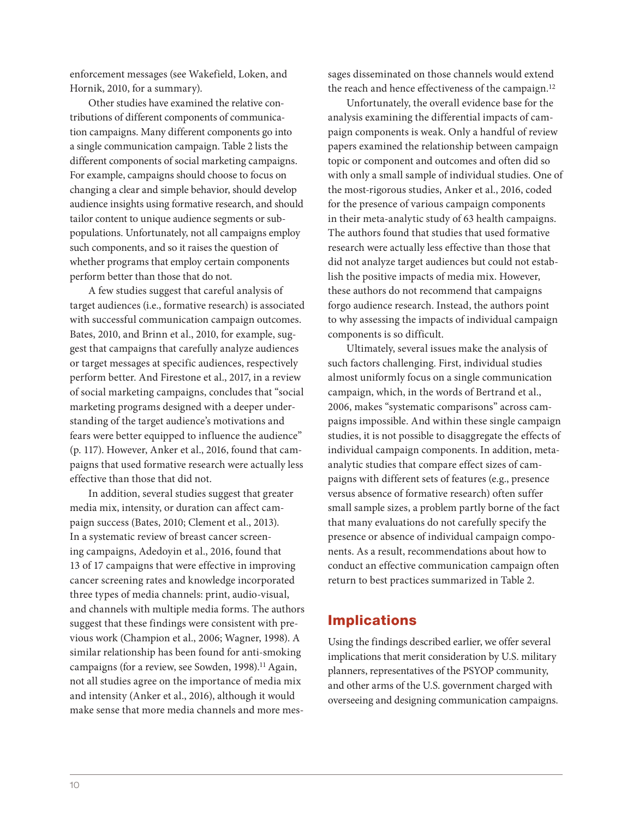enforcement messages (see Wakefield, Loken, and Hornik, 2010, for a summary).

Other studies have examined the relative contributions of different components of communication campaigns. Many different components go into a single communication campaign. Table 2 lists the different components of social marketing campaigns. For example, campaigns should choose to focus on changing a clear and simple behavior, should develop audience insights using formative research, and should tailor content to unique audience segments or subpopulations. Unfortunately, not all campaigns employ such components, and so it raises the question of whether programs that employ certain components perform better than those that do not.

A few studies suggest that careful analysis of target audiences (i.e., formative research) is associated with successful communication campaign outcomes. Bates, 2010, and Brinn et al., 2010, for example, suggest that campaigns that carefully analyze audiences or target messages at specific audiences, respectively perform better. And Firestone et al., 2017, in a review of social marketing campaigns, concludes that "social marketing programs designed with a deeper understanding of the target audience's motivations and fears were better equipped to influence the audience" (p. 117). However, Anker et al., 2016, found that campaigns that used formative research were actually less effective than those that did not.

In addition, several studies suggest that greater media mix, intensity, or duration can affect campaign success (Bates, 2010; Clement et al., 2013). In a systematic review of breast cancer screening campaigns, Adedoyin et al., 2016, found that 13 of 17 campaigns that were effective in improving cancer screening rates and knowledge incorporated three types of media channels: print, audio-visual, and channels with multiple media forms. The authors suggest that these findings were consistent with previous work (Champion et al., 2006; Wagner, 1998). A similar relationship has been found for anti-smoking campaigns (for a review, see Sowden, 1998).<sup>11</sup> Again, not all studies agree on the importance of media mix and intensity (Anker et al., 2016), although it would make sense that more media channels and more messages disseminated on those channels would extend the reach and hence effectiveness of the campaign.<sup>12</sup>

Unfortunately, the overall evidence base for the analysis examining the differential impacts of campaign components is weak. Only a handful of review papers examined the relationship between campaign topic or component and outcomes and often did so with only a small sample of individual studies. One of the most-rigorous studies, Anker et al., 2016, coded for the presence of various campaign components in their meta-analytic study of 63 health campaigns. The authors found that studies that used formative research were actually less effective than those that did not analyze target audiences but could not establish the positive impacts of media mix. However, these authors do not recommend that campaigns forgo audience research. Instead, the authors point to why assessing the impacts of individual campaign components is so difficult.

Ultimately, several issues make the analysis of such factors challenging. First, individual studies almost uniformly focus on a single communication campaign, which, in the words of Bertrand et al., 2006, makes "systematic comparisons" across campaigns impossible. And within these single campaign studies, it is not possible to disaggregate the effects of individual campaign components. In addition, metaanalytic studies that compare effect sizes of campaigns with different sets of features (e.g., presence versus absence of formative research) often suffer small sample sizes, a problem partly borne of the fact that many evaluations do not carefully specify the presence or absence of individual campaign components. As a result, recommendations about how to conduct an effective communication campaign often return to best practices summarized in Table 2.

#### Implications

Using the findings described earlier, we offer several implications that merit consideration by U.S. military planners, representatives of the PSYOP community, and other arms of the U.S. government charged with overseeing and designing communication campaigns.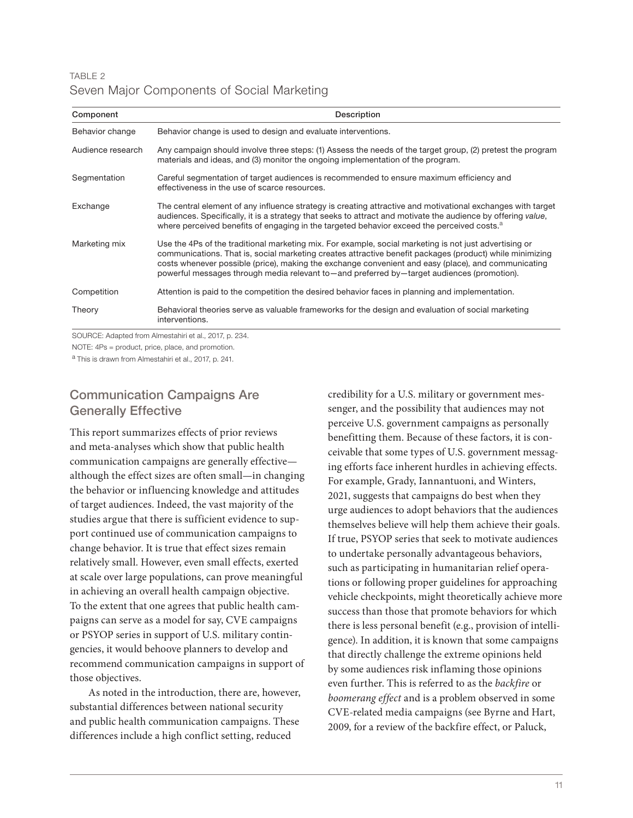#### TABLE 2 Seven Major Components of Social Marketing

| Component         | Description                                                                                                                                                                                                                                                                                                                                                                                                             |
|-------------------|-------------------------------------------------------------------------------------------------------------------------------------------------------------------------------------------------------------------------------------------------------------------------------------------------------------------------------------------------------------------------------------------------------------------------|
| Behavior change   | Behavior change is used to design and evaluate interventions.                                                                                                                                                                                                                                                                                                                                                           |
| Audience research | Any campaign should involve three steps: (1) Assess the needs of the target group, (2) pretest the program<br>materials and ideas, and (3) monitor the ongoing implementation of the program.                                                                                                                                                                                                                           |
| Segmentation      | Careful segmentation of target audiences is recommended to ensure maximum efficiency and<br>effectiveness in the use of scarce resources.                                                                                                                                                                                                                                                                               |
| Exchange          | The central element of any influence strategy is creating attractive and motivational exchanges with target<br>audiences. Specifically, it is a strategy that seeks to attract and motivate the audience by offering value,<br>where perceived benefits of engaging in the targeted behavior exceed the perceived costs. <sup>a</sup>                                                                                   |
| Marketing mix     | Use the 4Ps of the traditional marketing mix. For example, social marketing is not just advertising or<br>communications. That is, social marketing creates attractive benefit packages (product) while minimizing<br>costs whenever possible (price), making the exchange convenient and easy (place), and communicating<br>powerful messages through media relevant to—and preferred by—target audiences (promotion). |
| Competition       | Attention is paid to the competition the desired behavior faces in planning and implementation.                                                                                                                                                                                                                                                                                                                         |
| Theory            | Behavioral theories serve as valuable frameworks for the design and evaluation of social marketing<br>interventions.                                                                                                                                                                                                                                                                                                    |

SOURCE: Adapted from Almestahiri et al., 2017, p. 234.

NOTE: 4Ps = product, price, place, and promotion.

a This is drawn from Almestahiri et al., 2017, p. 241.

# Communication Campaigns Are Generally Effective

This report summarizes effects of prior reviews and meta-analyses which show that public health communication campaigns are generally effective although the effect sizes are often small—in changing the behavior or influencing knowledge and attitudes of target audiences. Indeed, the vast majority of the studies argue that there is sufficient evidence to support continued use of communication campaigns to change behavior. It is true that effect sizes remain relatively small. However, even small effects, exerted at scale over large populations, can prove meaningful in achieving an overall health campaign objective. To the extent that one agrees that public health campaigns can serve as a model for say, CVE campaigns or PSYOP series in support of U.S. military contingencies, it would behoove planners to develop and recommend communication campaigns in support of those objectives.

As noted in the introduction, there are, however, substantial differences between national security and public health communication campaigns. These differences include a high conflict setting, reduced

credibility for a U.S. military or government messenger, and the possibility that audiences may not perceive U.S. government campaigns as personally benefitting them. Because of these factors, it is conceivable that some types of U.S. government messaging efforts face inherent hurdles in achieving effects. For example, Grady, Iannantuoni, and Winters, 2021, suggests that campaigns do best when they urge audiences to adopt behaviors that the audiences themselves believe will help them achieve their goals. If true, PSYOP series that seek to motivate audiences to undertake personally advantageous behaviors, such as participating in humanitarian relief operations or following proper guidelines for approaching vehicle checkpoints, might theoretically achieve more success than those that promote behaviors for which there is less personal benefit (e.g., provision of intelligence). In addition, it is known that some campaigns that directly challenge the extreme opinions held by some audiences risk inflaming those opinions even further. This is referred to as the backfire or boomerang effect and is a problem observed in some CVE-related media campaigns (see Byrne and Hart, 2009, for a review of the backfire effect, or Paluck,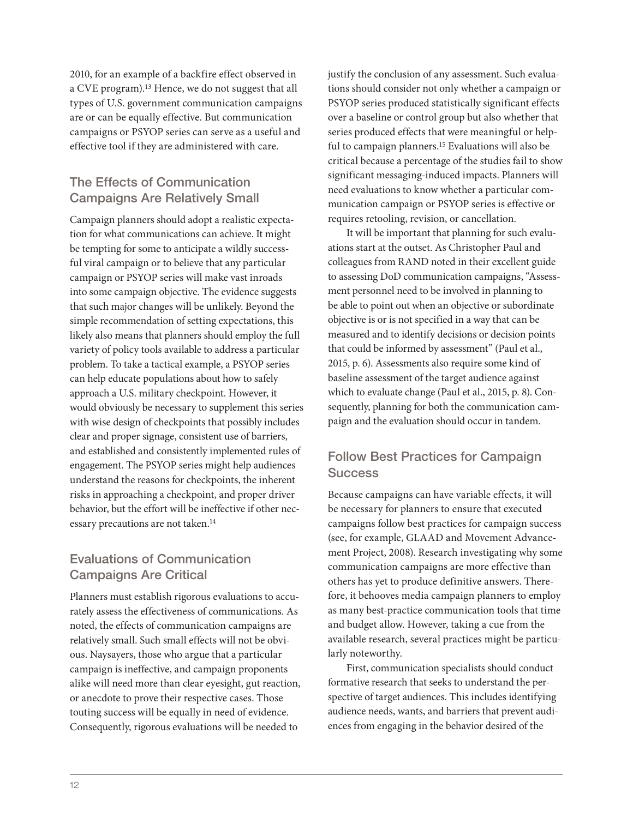2010, for an example of a backfire effect observed in a CVE program).<sup>13</sup> Hence, we do not suggest that all types of U.S. government communication campaigns are or can be equally effective. But communication campaigns or PSYOP series can serve as a useful and effective tool if they are administered with care.

# The Effects of Communication Campaigns Are Relatively Small

Campaign planners should adopt a realistic expectation for what communications can achieve. It might be tempting for some to anticipate a wildly successful viral campaign or to believe that any particular campaign or PSYOP series will make vast inroads into some campaign objective. The evidence suggests that such major changes will be unlikely. Beyond the simple recommendation of setting expectations, this likely also means that planners should employ the full variety of policy tools available to address a particular problem. To take a tactical example, a PSYOP series can help educate populations about how to safely approach a U.S. military checkpoint. However, it would obviously be necessary to supplement this series with wise design of checkpoints that possibly includes clear and proper signage, consistent use of barriers, and established and consistently implemented rules of engagement. The PSYOP series might help audiences understand the reasons for checkpoints, the inherent risks in approaching a checkpoint, and proper driver behavior, but the effort will be ineffective if other necessary precautions are not taken.<sup>14</sup>

# Evaluations of Communication Campaigns Are Critical

Planners must establish rigorous evaluations to accurately assess the effectiveness of communications. As noted, the effects of communication campaigns are relatively small. Such small effects will not be obvious. Naysayers, those who argue that a particular campaign is ineffective, and campaign proponents alike will need more than clear eyesight, gut reaction, or anecdote to prove their respective cases. Those touting success will be equally in need of evidence. Consequently, rigorous evaluations will be needed to

justify the conclusion of any assessment. Such evaluations should consider not only whether a campaign or PSYOP series produced statistically significant effects over a baseline or control group but also whether that series produced effects that were meaningful or helpful to campaign planners.15 Evaluations will also be critical because a percentage of the studies fail to show significant messaging-induced impacts. Planners will need evaluations to know whether a particular communication campaign or PSYOP series is effective or requires retooling, revision, or cancellation.

It will be important that planning for such evaluations start at the outset. As Christopher Paul and colleagues from RAND noted in their excellent guide to assessing DoD communication campaigns, "Assessment personnel need to be involved in planning to be able to point out when an objective or subordinate objective is or is not specified in a way that can be measured and to identify decisions or decision points that could be informed by assessment" (Paul et al., 2015, p. 6). Assessments also require some kind of baseline assessment of the target audience against which to evaluate change (Paul et al., 2015, p. 8). Consequently, planning for both the communication campaign and the evaluation should occur in tandem.

#### Follow Best Practices for Campaign **Success**

Because campaigns can have variable effects, it will be necessary for planners to ensure that executed campaigns follow best practices for campaign success (see, for example, GLAAD and Movement Advancement Project, 2008). Research investigating why some communication campaigns are more effective than others has yet to produce definitive answers. Therefore, it behooves media campaign planners to employ as many best-practice communication tools that time and budget allow. However, taking a cue from the available research, several practices might be particularly noteworthy.

First, communication specialists should conduct formative research that seeks to understand the perspective of target audiences. This includes identifying audience needs, wants, and barriers that prevent audiences from engaging in the behavior desired of the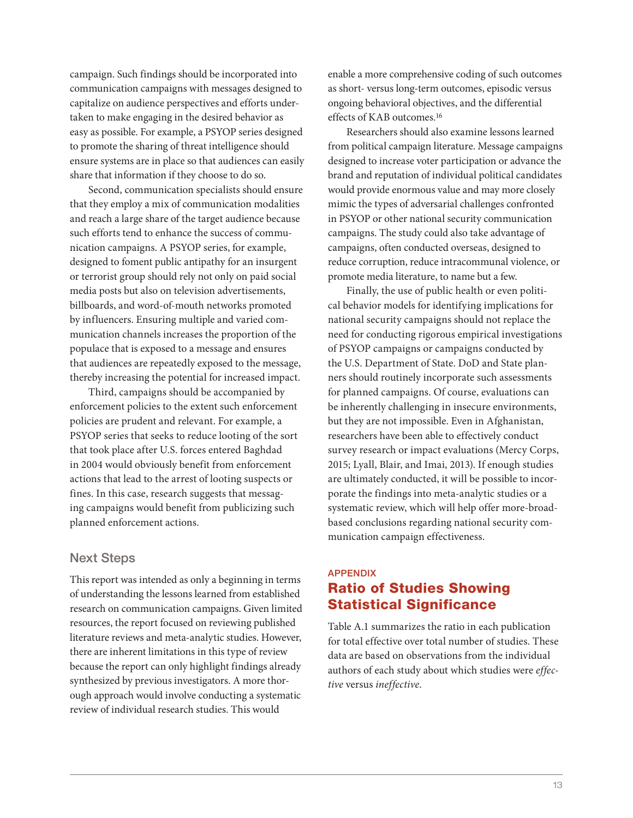campaign. Such findings should be incorporated into communication campaigns with messages designed to capitalize on audience perspectives and efforts undertaken to make engaging in the desired behavior as easy as possible. For example, a PSYOP series designed to promote the sharing of threat intelligence should ensure systems are in place so that audiences can easily share that information if they choose to do so.

Second, communication specialists should ensure that they employ a mix of communication modalities and reach a large share of the target audience because such efforts tend to enhance the success of communication campaigns. A PSYOP series, for example, designed to foment public antipathy for an insurgent or terrorist group should rely not only on paid social media posts but also on television advertisements, billboards, and word-of-mouth networks promoted by influencers. Ensuring multiple and varied communication channels increases the proportion of the populace that is exposed to a message and ensures that audiences are repeatedly exposed to the message, thereby increasing the potential for increased impact.

Third, campaigns should be accompanied by enforcement policies to the extent such enforcement policies are prudent and relevant. For example, a PSYOP series that seeks to reduce looting of the sort that took place after U.S. forces entered Baghdad in 2004 would obviously benefit from enforcement actions that lead to the arrest of looting suspects or fines. In this case, research suggests that messaging campaigns would benefit from publicizing such planned enforcement actions.

#### Next Steps

This report was intended as only a beginning in terms of understanding the lessons learned from established research on communication campaigns. Given limited resources, the report focused on reviewing published literature reviews and meta-analytic studies. However, there are inherent limitations in this type of review because the report can only highlight findings already synthesized by previous investigators. A more thorough approach would involve conducting a systematic review of individual research studies. This would

enable a more comprehensive coding of such outcomes as short- versus long-term outcomes, episodic versus ongoing behavioral objectives, and the differential effects of KAB outcomes.16

Researchers should also examine lessons learned from political campaign literature. Message campaigns designed to increase voter participation or advance the brand and reputation of individual political candidates would provide enormous value and may more closely mimic the types of adversarial challenges confronted in PSYOP or other national security communication campaigns. The study could also take advantage of campaigns, often conducted overseas, designed to reduce corruption, reduce intracommunal violence, or promote media literature, to name but a few.

Finally, the use of public health or even political behavior models for identifying implications for national security campaigns should not replace the need for conducting rigorous empirical investigations of PSYOP campaigns or campaigns conducted by the U.S. Department of State. DoD and State planners should routinely incorporate such assessments for planned campaigns. Of course, evaluations can be inherently challenging in insecure environments, but they are not impossible. Even in Afghanistan, researchers have been able to effectively conduct survey research or impact evaluations (Mercy Corps, 2015; Lyall, Blair, and Imai, 2013). If enough studies are ultimately conducted, it will be possible to incorporate the findings into meta-analytic studies or a systematic review, which will help offer more-broadbased conclusions regarding national security communication campaign effectiveness.

# **APPENDIX** Ratio of Studies Showing Statistical Significance

Table A.1 summarizes the ratio in each publication for total effective over total number of studies. These data are based on observations from the individual authors of each study about which studies were effective versus ineffective.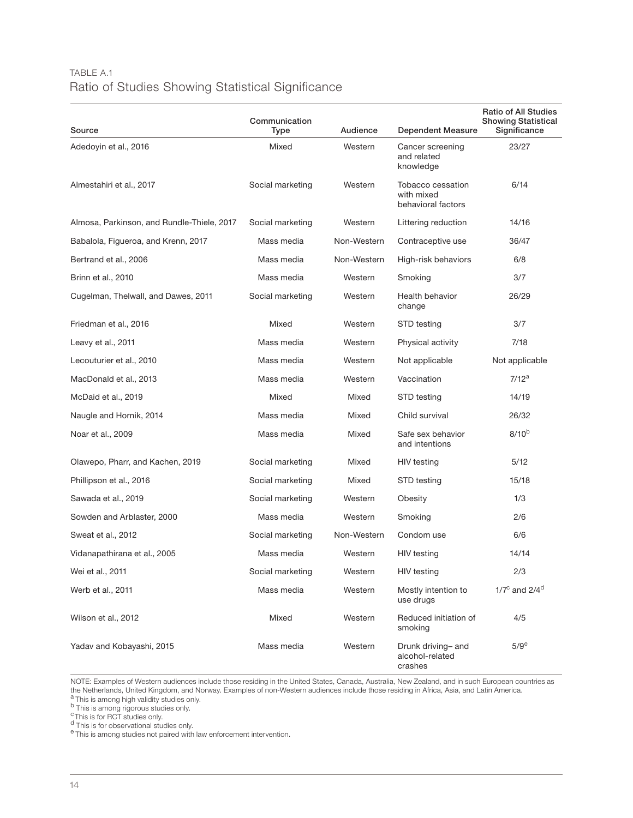#### TABLE A.1 Ratio of Studies Showing Statistical Significance

| Source                                     | Communication<br><b>Type</b> | Audience    | <b>Dependent Measure</b>                              | <b>Ratio of All Studies</b><br><b>Showing Statistical</b><br>Significance |
|--------------------------------------------|------------------------------|-------------|-------------------------------------------------------|---------------------------------------------------------------------------|
| Adedoyin et al., 2016                      | Mixed                        | Western     | Cancer screening<br>and related<br>knowledge          | 23/27                                                                     |
| Almestahiri et al., 2017                   | Social marketing             | Western     | Tobacco cessation<br>with mixed<br>behavioral factors | 6/14                                                                      |
| Almosa, Parkinson, and Rundle-Thiele, 2017 | Social marketing             | Western     | Littering reduction                                   | 14/16                                                                     |
| Babalola, Figueroa, and Krenn, 2017        | Mass media                   | Non-Western | Contraceptive use                                     | 36/47                                                                     |
| Bertrand et al., 2006                      | Mass media                   | Non-Western | High-risk behaviors                                   | 6/8                                                                       |
| Brinn et al., 2010                         | Mass media                   | Western     | Smoking                                               | 3/7                                                                       |
| Cugelman, Thelwall, and Dawes, 2011        | Social marketing             | Western     | Health behavior<br>change                             | 26/29                                                                     |
| Friedman et al., 2016                      | Mixed                        | Western     | STD testing                                           | 3/7                                                                       |
| Leavy et al., 2011                         | Mass media                   | Western     | Physical activity                                     | 7/18                                                                      |
| Lecouturier et al., 2010                   | Mass media                   | Western     | Not applicable                                        | Not applicable                                                            |
| MacDonald et al., 2013                     | Mass media                   | Western     | Vaccination                                           | $7/12^a$                                                                  |
| McDaid et al., 2019                        | Mixed                        | Mixed       | STD testing                                           | 14/19                                                                     |
| Naugle and Hornik, 2014                    | Mass media                   | Mixed       | Child survival                                        | 26/32                                                                     |
| Noar et al., 2009                          | Mass media                   | Mixed       | Safe sex behavior<br>and intentions                   | $8/10^{b}$                                                                |
| Olawepo, Pharr, and Kachen, 2019           | Social marketing             | Mixed       | HIV testing                                           | 5/12                                                                      |
| Phillipson et al., 2016                    | Social marketing             | Mixed       | STD testing                                           | 15/18                                                                     |
| Sawada et al., 2019                        | Social marketing             | Western     | Obesity                                               | 1/3                                                                       |
| Sowden and Arblaster, 2000                 | Mass media                   | Western     | Smoking                                               | 2/6                                                                       |
| Sweat et al., 2012                         | Social marketing             | Non-Western | Condom use                                            | 6/6                                                                       |
| Vidanapathirana et al., 2005               | Mass media                   | Western     | <b>HIV</b> testing                                    | 14/14                                                                     |
| Wei et al., 2011                           | Social marketing             | Western     | HIV testing                                           | 2/3                                                                       |
| Werb et al., 2011                          | Mass media                   | Western     | Mostly intention to<br>use drugs                      | $1/7^{\circ}$ and $2/4^{\circ}$                                           |
| Wilson et al., 2012                        | Mixed                        | Western     | Reduced initiation of<br>smoking                      | 4/5                                                                       |
| Yadav and Kobayashi, 2015                  | Mass media                   | Western     | Drunk driving- and<br>alcohol-related<br>crashes      | $5/9^e$                                                                   |

NOTE: Examples of Western audiences include those residing in the United States, Canada, Australia, New Zealand, and in such European countries as the Netherlands, United Kingdom, and Norway. Examples of non-Western audiences include those residing in Africa, Asia, and Latin America.<br><sup>a</sup> This is among high validity studies only.

b This is among rigorous studies only.

<sup>c</sup>This is for RCT studies only.

<sup>d</sup> This is for observational studies only.

e This is among studies not paired with law enforcement intervention.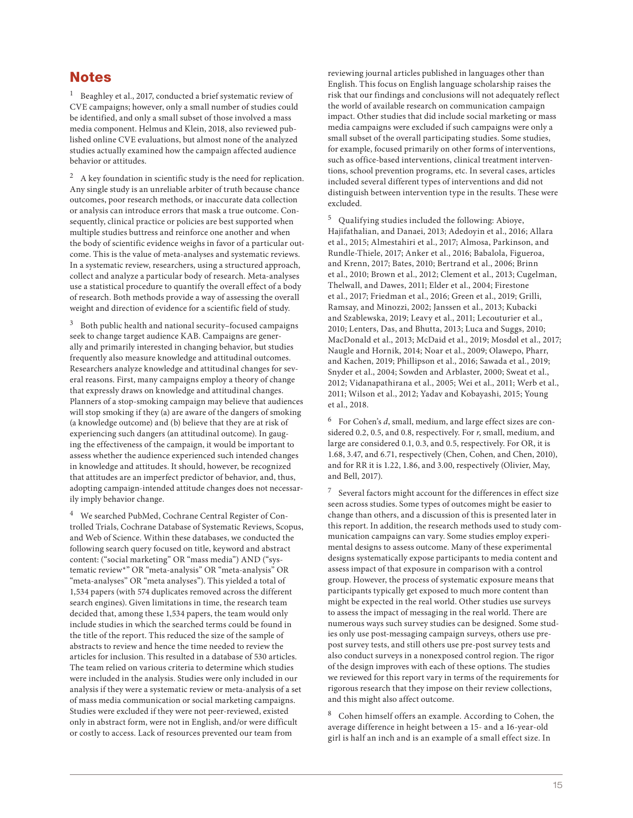#### Notes

<sup>1</sup> Beaghley et al., 2017, conducted a brief systematic review of CVE campaigns; however, only a small number of studies could be identified, and only a small subset of those involved a mass media component. Helmus and Klein, 2018, also reviewed published online CVE evaluations, but almost none of the analyzed studies actually examined how the campaign affected audience behavior or attitudes.

 $2$  A key foundation in scientific study is the need for replication. Any single study is an unreliable arbiter of truth because chance outcomes, poor research methods, or inaccurate data collection or analysis can introduce errors that mask a true outcome. Consequently, clinical practice or policies are best supported when multiple studies buttress and reinforce one another and when the body of scientific evidence weighs in favor of a particular outcome. This is the value of meta-analyses and systematic reviews. In a systematic review, researchers, using a structured approach, collect and analyze a particular body of research. Meta-analyses use a statistical procedure to quantify the overall effect of a body of research. Both methods provide a way of assessing the overall weight and direction of evidence for a scientific field of study.

3 Both public health and national security–focused campaigns seek to change target audience KAB. Campaigns are generally and primarily interested in changing behavior, but studies frequently also measure knowledge and attitudinal outcomes. Researchers analyze knowledge and attitudinal changes for several reasons. First, many campaigns employ a theory of change that expressly draws on knowledge and attitudinal changes. Planners of a stop-smoking campaign may believe that audiences will stop smoking if they (a) are aware of the dangers of smoking (a knowledge outcome) and (b) believe that they are at risk of experiencing such dangers (an attitudinal outcome). In gauging the effectiveness of the campaign, it would be important to assess whether the audience experienced such intended changes in knowledge and attitudes. It should, however, be recognized that attitudes are an imperfect predictor of behavior, and, thus, adopting campaign-intended attitude changes does not necessarily imply behavior change.

4 We searched PubMed, Cochrane Central Register of Controlled Trials, Cochrane Database of Systematic Reviews, Scopus, and Web of Science. Within these databases, we conducted the following search query focused on title, keyword and abstract content: ("social marketing" OR "mass media") AND ("systematic review\*" OR "meta-analysis" OR "meta-analysis" OR "meta-analyses" OR "meta analyses"). This yielded a total of 1,534 papers (with 574 duplicates removed across the different search engines). Given limitations in time, the research team decided that, among these 1,534 papers, the team would only include studies in which the searched terms could be found in the title of the report. This reduced the size of the sample of abstracts to review and hence the time needed to review the articles for inclusion. This resulted in a database of 530 articles. The team relied on various criteria to determine which studies were included in the analysis. Studies were only included in our analysis if they were a systematic review or meta-analysis of a set of mass media communication or social marketing campaigns. Studies were excluded if they were not peer-reviewed, existed only in abstract form, were not in English, and/or were difficult or costly to access. Lack of resources prevented our team from

reviewing journal articles published in languages other than English. This focus on English language scholarship raises the risk that our findings and conclusions will not adequately reflect the world of available research on communication campaign impact. Other studies that did include social marketing or mass media campaigns were excluded if such campaigns were only a small subset of the overall participating studies. Some studies, for example, focused primarily on other forms of interventions, such as office-based interventions, clinical treatment interventions, school prevention programs, etc. In several cases, articles included several different types of interventions and did not distinguish between intervention type in the results. These were excluded.

5 Qualifying studies included the following: Abioye, Hajifathalian, and Danaei, 2013; Adedoyin et al., 2016; Allara et al., 2015; Almestahiri et al., 2017; Almosa, Parkinson, and Rundle-Thiele, 2017; Anker et al., 2016; Babalola, Figueroa, and Krenn, 2017; Bates, 2010; Bertrand et al., 2006; Brinn et al., 2010; Brown et al., 2012; Clement et al., 2013; Cugelman, Thelwall, and Dawes, 2011; Elder et al., 2004; Firestone et al., 2017; Friedman et al., 2016; Green et al., 2019; Grilli, Ramsay, and Minozzi, 2002; Janssen et al., 2013; Kubacki and Szablewska, 2019; Leavy et al., 2011; Lecouturier et al., 2010; Lenters, Das, and Bhutta, 2013; Luca and Suggs, 2010; MacDonald et al., 2013; McDaid et al., 2019; Mosdøl et al., 2017; Naugle and Hornik, 2014; Noar et al., 2009; Olawepo, Pharr, and Kachen, 2019; Phillipson et al., 2016; Sawada et al., 2019; Snyder et al., 2004; Sowden and Arblaster, 2000; Sweat et al., 2012; Vidanapathirana et al., 2005; Wei et al., 2011; Werb et al., 2011; Wilson et al., 2012; Yadav and Kobayashi, 2015; Young et al., 2018.

 $6$  For Cohen's  $d$ , small, medium, and large effect sizes are considered 0.2, 0.5, and 0.8, respectively. For r, small, medium, and large are considered 0.1, 0.3, and 0.5, respectively. For OR, it is 1.68, 3.47, and 6.71, respectively (Chen, Cohen, and Chen, 2010), and for RR it is 1.22, 1.86, and 3.00, respectively (Olivier, May, and Bell, 2017).

 $7$  Several factors might account for the differences in effect size seen across studies. Some types of outcomes might be easier to change than others, and a discussion of this is presented later in this report. In addition, the research methods used to study communication campaigns can vary. Some studies employ experimental designs to assess outcome. Many of these experimental designs systematically expose participants to media content and assess impact of that exposure in comparison with a control group. However, the process of systematic exposure means that participants typically get exposed to much more content than might be expected in the real world. Other studies use surveys to assess the impact of messaging in the real world. There are numerous ways such survey studies can be designed. Some studies only use post-messaging campaign surveys, others use prepost survey tests, and still others use pre-post survey tests and also conduct surveys in a nonexposed control region. The rigor of the design improves with each of these options. The studies we reviewed for this report vary in terms of the requirements for rigorous research that they impose on their review collections, and this might also affect outcome.

8 Cohen himself offers an example. According to Cohen, the average difference in height between a 15- and a 16-year-old girl is half an inch and is an example of a small effect size. In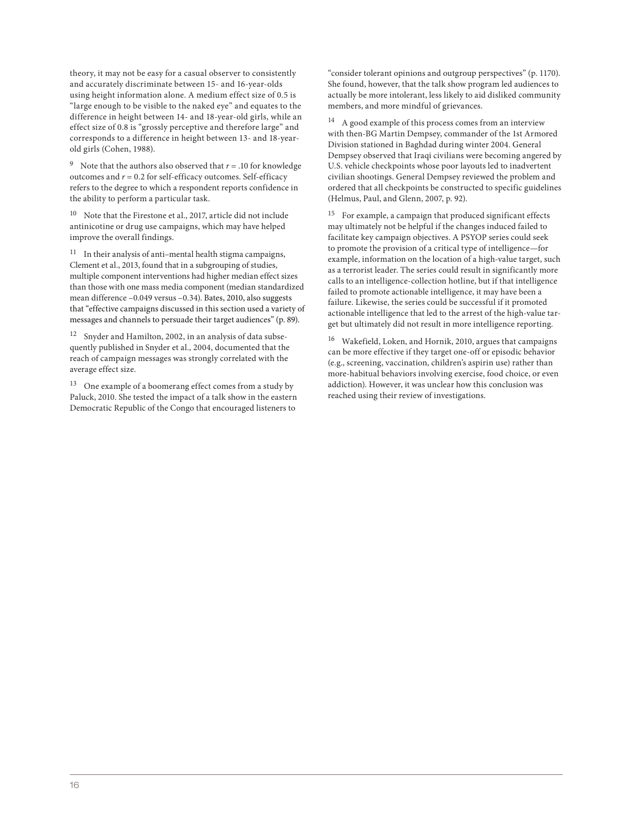theory, it may not be easy for a casual observer to consistently and accurately discriminate between 15- and 16-year-olds using height information alone. A medium effect size of 0.5 is "large enough to be visible to the naked eye" and equates to the difference in height between 14- and 18-year-old girls, while an effect size of 0.8 is "grossly perceptive and therefore large" and corresponds to a difference in height between 13- and 18-yearold girls (Cohen, 1988).

<sup>9</sup> Note that the authors also observed that  $r = .10$  for knowledge outcomes and  $r = 0.2$  for self-efficacy outcomes. Self-efficacy refers to the degree to which a respondent reports confidence in the ability to perform a particular task.

10 Note that the Firestone et al., 2017, article did not include antinicotine or drug use campaigns, which may have helped improve the overall findings.

 $11$  In their analysis of anti-mental health stigma campaigns, Clement et al., 2013, found that in a subgrouping of studies, multiple component interventions had higher median effect sizes than those with one mass media component (median standardized mean difference –0.049 versus –0.34). Bates, 2010, also suggests that "effective campaigns discussed in this section used a variety of messages and channels to persuade their target audiences" (p. 89).

12 Snyder and Hamilton, 2002, in an analysis of data subsequently published in Snyder et al., 2004, documented that the reach of campaign messages was strongly correlated with the average effect size.

13 One example of a boomerang effect comes from a study by Paluck, 2010. She tested the impact of a talk show in the eastern Democratic Republic of the Congo that encouraged listeners to

"consider tolerant opinions and outgroup perspectives" (p. 1170). She found, however, that the talk show program led audiences to actually be more intolerant, less likely to aid disliked community members, and more mindful of grievances.

 $14$  A good example of this process comes from an interview with then-BG Martin Dempsey, commander of the 1st Armored Division stationed in Baghdad during winter 2004. General Dempsey observed that Iraqi civilians were becoming angered by U.S. vehicle checkpoints whose poor layouts led to inadvertent civilian shootings. General Dempsey reviewed the problem and ordered that all checkpoints be constructed to specific guidelines (Helmus, Paul, and Glenn, 2007, p. 92).

<sup>15</sup> For example, a campaign that produced significant effects may ultimately not be helpful if the changes induced failed to facilitate key campaign objectives. A PSYOP series could seek to promote the provision of a critical type of intelligence—for example, information on the location of a high-value target, such as a terrorist leader. The series could result in significantly more calls to an intelligence-collection hotline, but if that intelligence failed to promote actionable intelligence, it may have been a failure. Likewise, the series could be successful if it promoted actionable intelligence that led to the arrest of the high-value target but ultimately did not result in more intelligence reporting.

16 Wakefield, Loken, and Hornik, 2010, argues that campaigns can be more effective if they target one-off or episodic behavior (e.g., screening, vaccination, children's aspirin use) rather than more-habitual behaviors involving exercise, food choice, or even addiction). However, it was unclear how this conclusion was reached using their review of investigations.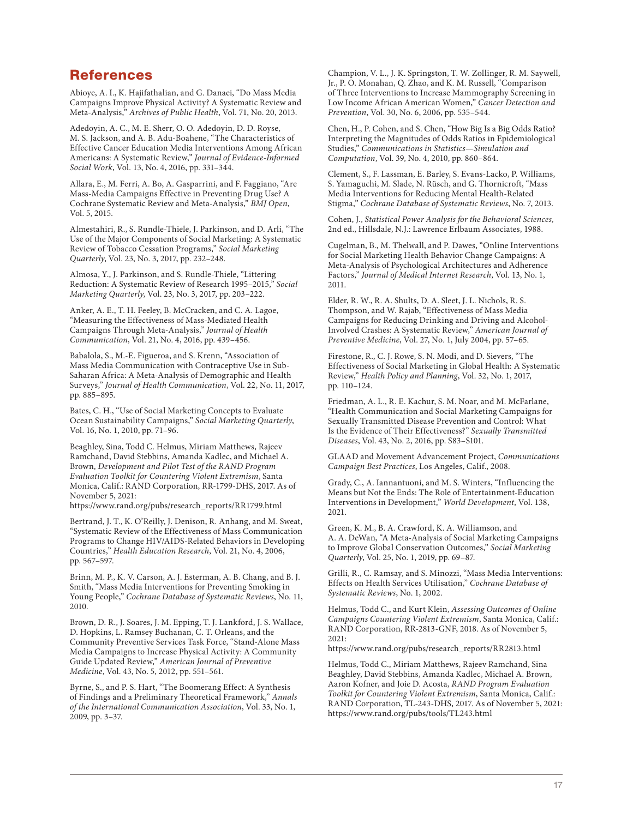#### References

Abioye, A. I., K. Hajifathalian, and G. Danaei, "Do Mass Media Campaigns Improve Physical Activity? A Systematic Review and Meta-Analysis," Archives of Public Health, Vol. 71, No. 20, 2013.

Adedoyin, A. C., M. E. Sherr, O. O. Adedoyin, D. D. Royse, M. S. Jackson, and A. B. Adu-Boahene, "The Characteristics of Effective Cancer Education Media Interventions Among African Americans: A Systematic Review," Journal of Evidence-Informed Social Work, Vol. 13, No. 4, 2016, pp. 331–344.

Allara, E., M. Ferri, A. Bo, A. Gasparrini, and F. Faggiano, "Are Mass-Media Campaigns Effective in Preventing Drug Use? A Cochrane Systematic Review and Meta-Analysis," BMJ Open, Vol. 5, 2015.

Almestahiri, R., S. Rundle-Thiele, J. Parkinson, and D. Arli, "The Use of the Major Components of Social Marketing: A Systematic Review of Tobacco Cessation Programs," Social Marketing Quarterly, Vol. 23, No. 3, 2017, pp. 232–248.

Almosa, Y., J. Parkinson, and S. Rundle-Thiele, "Littering Reduction: A Systematic Review of Research 1995–2015," Social Marketing Quarterly, Vol. 23, No. 3, 2017, pp. 203–222.

Anker, A. E., T. H. Feeley, B. McCracken, and C. A. Lagoe, "Measuring the Effectiveness of Mass-Mediated Health Campaigns Through Meta-Analysis," Journal of Health Communication, Vol. 21, No. 4, 2016, pp. 439–456.

Babalola, S., M.-E. Figueroa, and S. Krenn, "Association of Mass Media Communication with Contraceptive Use in Sub-Saharan Africa: A Meta-Analysis of Demographic and Health Surveys," Journal of Health Communication, Vol. 22, No. 11, 2017, pp. 885–895.

Bates, C. H., "Use of Social Marketing Concepts to Evaluate Ocean Sustainability Campaigns," Social Marketing Quarterly, Vol. 16, No. 1, 2010, pp. 71–96.

Beaghley, Sina, Todd C. Helmus, Miriam Matthews, Rajeev Ramchand, David Stebbins, Amanda Kadlec, and Michael A. Brown, Development and Pilot Test of the RAND Program Evaluation Toolkit for Countering Violent Extremism, Santa Monica, Calif.: RAND Corporation, RR-1799-DHS, 2017. As of November 5, 2021:

[https://www.rand.org/pubs/research\\_reports/RR1799.html](https://www.rand.org/pubs/research_reports/RR1799.html)

Bertrand, J. T., K. O'Reilly, J. Denison, R. Anhang, and M. Sweat, "Systematic Review of the Effectiveness of Mass Communication Programs to Change HIV/AIDS-Related Behaviors in Developing Countries," Health Education Research, Vol. 21, No. 4, 2006, pp. 567–597.

Brinn, M. P., K. V. Carson, A. J. Esterman, A. B. Chang, and B. J. Smith, "Mass Media Interventions for Preventing Smoking in Young People," Cochrane Database of Systematic Reviews, No. 11, 2010.

Brown, D. R., J. Soares, J. M. Epping, T. J. Lankford, J. S. Wallace, D. Hopkins, L. Ramsey Buchanan, C. T. Orleans, and the Community Preventive Services Task Force, "Stand-Alone Mass Media Campaigns to Increase Physical Activity: A Community Guide Updated Review," American Journal of Preventive Medicine, Vol. 43, No. 5, 2012, pp. 551–561.

Byrne, S., and P. S. Hart, "The Boomerang Effect: A Synthesis of Findings and a Preliminary Theoretical Framework," Annals of the International Communication Association, Vol. 33, No. 1, 2009, pp. 3–37.

Champion, V. L., J. K. Springston, T. W. Zollinger, R. M. Saywell, Jr., P. O. Monahan, Q. Zhao, and K. M. Russell, "Comparison of Three Interventions to Increase Mammography Screening in Low Income African American Women," Cancer Detection and Prevention, Vol. 30, No. 6, 2006, pp. 535–544.

Chen, H., P. Cohen, and S. Chen, "How Big Is a Big Odds Ratio? Interpreting the Magnitudes of Odds Ratios in Epidemiological Studies," Communications in Statistics—Simulation and Computation, Vol. 39, No. 4, 2010, pp. 860–864.

Clement, S., F. Lassman, E. Barley, S. Evans-Lacko, P. Williams, S. Yamaguchi, M. Slade, N. Rüsch, and G. Thornicroft, "Mass Media Interventions for Reducing Mental Health-Related Stigma," Cochrane Database of Systematic Reviews, No. 7, 2013.

Cohen, J., Statistical Power Analysis for the Behavioral Sciences, 2nd ed., Hillsdale, N.J.: Lawrence Erlbaum Associates, 1988.

Cugelman, B., M. Thelwall, and P. Dawes, "Online Interventions for Social Marketing Health Behavior Change Campaigns: A Meta-Analysis of Psychological Architectures and Adherence Factors," Journal of Medical Internet Research, Vol. 13, No. 1, 2011.

Elder, R. W., R. A. Shults, D. A. Sleet, J. L. Nichols, R. S. Thompson, and W. Rajab, "Effectiveness of Mass Media Campaigns for Reducing Drinking and Driving and Alcohol-Involved Crashes: A Systematic Review," American Journal of Preventive Medicine, Vol. 27, No. 1, July 2004, pp. 57–65.

Firestone, R., C. J. Rowe, S. N. Modi, and D. Sievers, "The Effectiveness of Social Marketing in Global Health: A Systematic Review," Health Policy and Planning, Vol. 32, No. 1, 2017, pp. 110–124.

Friedman, A. L., R. E. Kachur, S. M. Noar, and M. McFarlane, "Health Communication and Social Marketing Campaigns for Sexually Transmitted Disease Prevention and Control: What Is the Evidence of Their Effectiveness?" Sexually Transmitted Diseases, Vol. 43, No. 2, 2016, pp. S83–S101.

GLAAD and Movement Advancement Project, Communications Campaign Best Practices, Los Angeles, Calif., 2008.

Grady, C., A. Iannantuoni, and M. S. Winters, "Influencing the Means but Not the Ends: The Role of Entertainment-Education Interventions in Development," World Development, Vol. 138, 2021.

Green, K. M., B. A. Crawford, K. A. Williamson, and A. A. DeWan, "A Meta-Analysis of Social Marketing Campaigns to Improve Global Conservation Outcomes," Social Marketing Quarterly, Vol. 25, No. 1, 2019, pp. 69–87.

Grilli, R., C. Ramsay, and S. Minozzi, "Mass Media Interventions: Effects on Health Services Utilisation," Cochrane Database of Systematic Reviews, No. 1, 2002.

Helmus, Todd C., and Kurt Klein, Assessing Outcomes of Online Campaigns Countering Violent Extremism, Santa Monica, Calif.: RAND Corporation, RR-2813-GNF, 2018. As of November 5, 2021:

[https://www.rand.org/pubs/research\\_reports/RR2813.html](https://www.rand.org/pubs/research_reports/RR2813.html) 

Helmus, Todd C., Miriam Matthews, Rajeev Ramchand, Sina Beaghley, David Stebbins, Amanda Kadlec, Michael A. Brown, Aaron Kofner, and Joie D. Acosta, RAND Program Evaluation Toolkit for Countering Violent Extremism, Santa Monica, Calif.: RAND Corporation, TL-243-DHS, 2017. As of November 5, 2021: <https://www.rand.org/pubs/tools/TL243.html>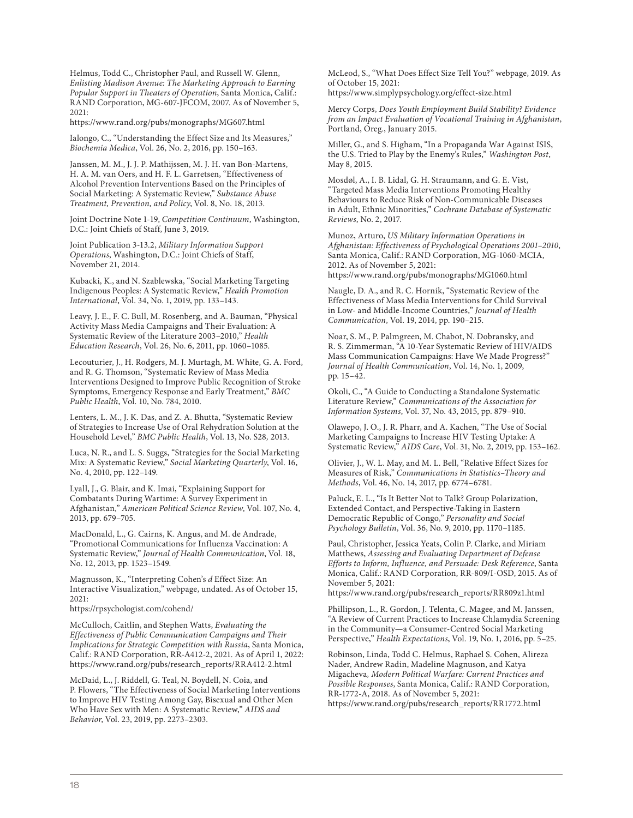Helmus, Todd C., Christopher Paul, and Russell W. Glenn, Enlisting Madison Avenue: The Marketing Approach to Earning Popular Support in Theaters of Operation, Santa Monica, Calif.: RAND Corporation, MG-607-JFCOM, 2007. As of November 5, 2021:

<https://www.rand.org/pubs/monographs/MG607.html>

Ialongo, C., "Understanding the Effect Size and Its Measures," Biochemia Medica, Vol. 26, No. 2, 2016, pp. 150–163.

Janssen, M. M., J. J. P. Mathijssen, M. J. H. van Bon-Martens, H. A. M. van Oers, and H. F. L. Garretsen, "Effectiveness of Alcohol Prevention Interventions Based on the Principles of Social Marketing: A Systematic Review," Substance Abuse Treatment, Prevention, and Policy, Vol. 8, No. 18, 2013.

Joint Doctrine Note 1-19, Competition Continuum, Washington, D.C.: Joint Chiefs of Staff, June 3, 2019.

Joint Publication 3-13.2, Military Information Support Operations, Washington, D.C.: Joint Chiefs of Staff, November 21, 2014.

Kubacki, K., and N. Szablewska, "Social Marketing Targeting Indigenous Peoples: A Systematic Review," Health Promotion International, Vol. 34, No. 1, 2019, pp. 133–143.

Leavy, J. E., F. C. Bull, M. Rosenberg, and A. Bauman, "Physical Activity Mass Media Campaigns and Their Evaluation: A Systematic Review of the Literature 2003–2010," Health Education Research, Vol. 26, No. 6, 2011, pp. 1060–1085.

Lecouturier, J., H. Rodgers, M. J. Murtagh, M. White, G. A. Ford, and R. G. Thomson, "Systematic Review of Mass Media Interventions Designed to Improve Public Recognition of Stroke Symptoms, Emergency Response and Early Treatment," BMC Public Health, Vol. 10, No. 784, 2010.

Lenters, L. M., J. K. Das, and Z. A. Bhutta, "Systematic Review of Strategies to Increase Use of Oral Rehydration Solution at the Household Level," BMC Public Health, Vol. 13, No. S28, 2013.

Luca, N. R., and L. S. Suggs, "Strategies for the Social Marketing Mix: A Systematic Review," Social Marketing Quarterly, Vol. 16, No. 4, 2010, pp. 122–149.

Lyall, J., G. Blair, and K. Imai, "Explaining Support for Combatants During Wartime: A Survey Experiment in Afghanistan," American Political Science Review, Vol. 107, No. 4, 2013, pp. 679–705.

MacDonald, L., G. Cairns, K. Angus, and M. de Andrade, "Promotional Communications for Influenza Vaccination: A Systematic Review," Journal of Health Communication, Vol. 18, No. 12, 2013, pp. 1523–1549.

Magnusson, K., "Interpreting Cohen's d Effect Size: An Interactive Visualization," webpage, undated. As of October 15, 2021:

<https://rpsychologist.com/cohend/>

McCulloch, Caitlin, and Stephen Watts, Evaluating the Effectiveness of Public Communication Campaigns and Their Implications for Strategic Competition with Russia, Santa Monica, Calif.: RAND Corporation, RR-A412-2, 2021. As of April 1, 2022: [https://www.rand.org/pubs/research\\_reports/RRA412-2.html](https://www.rand.org/pubs/research_reports/RRA412-2.html)

McDaid, L., J. Riddell, G. Teal, N. Boydell, N. Coia, and P. Flowers, "The Effectiveness of Social Marketing Interventions to Improve HIV Testing Among Gay, Bisexual and Other Men Who Have Sex with Men: A Systematic Review," AIDS and Behavior, Vol. 23, 2019, pp. 2273–2303.

McLeod, S., "What Does Effect Size Tell You?" webpage, 2019. As of October 15, 2021:

<https://www.simplypsychology.org/effect-size.html>

Mercy Corps, Does Youth Employment Build Stability? Evidence from an Impact Evaluation of Vocational Training in Afghanistan, Portland, Oreg., January 2015.

Miller, G., and S. Higham, "In a Propaganda War Against ISIS, the U.S. Tried to Play by the Enemy's Rules," Washington Post, May 8, 2015.

Mosdøl, A., I. B. Lidal, G. H. Straumann, and G. E. Vist, "Targeted Mass Media Interventions Promoting Healthy Behaviours to Reduce Risk of Non-Communicable Diseases in Adult, Ethnic Minorities," Cochrane Database of Systematic Reviews, No. 2, 2017.

Munoz, Arturo, US Military Information Operations in Afghanistan: Effectiveness of Psychological Operations 2001–2010, Santa Monica, Calif.: RAND Corporation, MG-1060-MCIA, 2012. As of November 5, 2021: <https://www.rand.org/pubs/monographs/MG1060.html>

Naugle, D. A., and R. C. Hornik, "Systematic Review of the Effectiveness of Mass Media Interventions for Child Survival in Low- and Middle-Income Countries," Journal of Health Communication, Vol. 19, 2014, pp. 190–215.

Noar, S. M., P. Palmgreen, M. Chabot, N. Dobransky, and R. S. Zimmerman, "A 10-Year Systematic Review of HIV/AIDS Mass Communication Campaigns: Have We Made Progress?" Journal of Health Communication, Vol. 14, No. 1, 2009, pp. 15–42.

Okoli, C., "A Guide to Conducting a Standalone Systematic Literature Review," Communications of the Association for Information Systems, Vol. 37, No. 43, 2015, pp. 879–910.

Olawepo, J. O., J. R. Pharr, and A. Kachen, "The Use of Social Marketing Campaigns to Increase HIV Testing Uptake: A Systematic Review," AIDS Care, Vol. 31, No. 2, 2019, pp. 153–162.

Olivier, J., W. L. May, and M. L. Bell, "Relative Effect Sizes for Measures of Risk," Communications in Statistics–Theory and Methods, Vol. 46, No. 14, 2017, pp. 6774–6781.

Paluck, E. L., "Is It Better Not to Talk? Group Polarization, Extended Contact, and Perspective-Taking in Eastern Democratic Republic of Congo," Personality and Social Psychology Bulletin, Vol. 36, No. 9, 2010, pp. 1170–1185.

Paul, Christopher, Jessica Yeats, Colin P. Clarke, and Miriam Matthews, Assessing and Evaluating Department of Defense Efforts to Inform, Influence, and Persuade: Desk Reference, Santa Monica, Calif.: RAND Corporation, RR-809/I-OSD, 2015. As of November 5, 2021:

[https://www.rand.org/pubs/research\\_reports/RR809z1.html](https://www.rand.org/pubs/research_reports/RR809z1.html) 

Phillipson, L., R. Gordon, J. Telenta, C. Magee, and M. Janssen, "A Review of Current Practices to Increase Chlamydia Screening in the Community—a Consumer-Centred Social Marketing Perspective," Health Expectations, Vol. 19, No. 1, 2016, pp. 5–25.

Robinson, Linda, Todd C. Helmus, Raphael S. Cohen, Alireza Nader, Andrew Radin, Madeline Magnuson, and Katya Migacheva, Modern Political Warfare: Current Practices and Possible Responses, Santa Monica, Calif.: RAND Corporation, RR-1772-A, 2018. As of November 5, 2021: [https://www.rand.org/pubs/research\\_reports/RR1772.html](https://www.rand.org/pubs/research_reports/RR1772.html)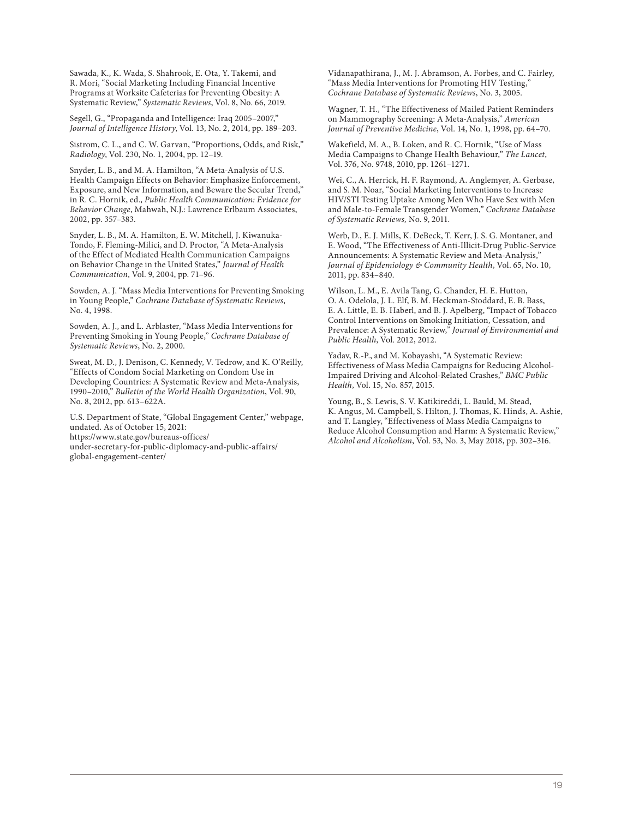Sawada, K., K. Wada, S. Shahrook, E. Ota, Y. Takemi, and R. Mori, "Social Marketing Including Financial Incentive Programs at Worksite Cafeterias for Preventing Obesity: A Systematic Review," Systematic Reviews, Vol. 8, No. 66, 2019.

Segell, G., "Propaganda and Intelligence: Iraq 2005–2007," Journal of Intelligence History, Vol. 13, No. 2, 2014, pp. 189–203.

Sistrom, C. L., and C. W. Garvan, "Proportions, Odds, and Risk," Radiology, Vol. 230, No. 1, 2004, pp. 12–19.

Snyder, L. B., and M. A. Hamilton, "A Meta-Analysis of U.S. Health Campaign Effects on Behavior: Emphasize Enforcement, Exposure, and New Information, and Beware the Secular Trend," in R. C. Hornik, ed., Public Health Communication: Evidence for Behavior Change, Mahwah, N.J.: Lawrence Erlbaum Associates, 2002, pp. 357–383.

Snyder, L. B., M. A. Hamilton, E. W. Mitchell, J. Kiwanuka-Tondo, F. Fleming-Milici, and D. Proctor, "A Meta-Analysis of the Effect of Mediated Health Communication Campaigns on Behavior Change in the United States," Journal of Health Communication, Vol. 9, 2004, pp. 71–96.

Sowden, A. J. "Mass Media Interventions for Preventing Smoking in Young People," Cochrane Database of Systematic Reviews, No. 4, 1998.

Sowden, A. J., and L. Arblaster, "Mass Media Interventions for Preventing Smoking in Young People," Cochrane Database of Systematic Reviews, No. 2, 2000.

Sweat, M. D., J. Denison, C. Kennedy, V. Tedrow, and K. O'Reilly, "Effects of Condom Social Marketing on Condom Use in Developing Countries: A Systematic Review and Meta-Analysis, 1990–2010," Bulletin of the World Health Organization, Vol. 90, No. 8, 2012, pp. 613–622A.

U.S. Department of State, "Global Engagement Center," webpage, undated. As of October 15, 2021: https://www.state.gov/bureaus-offices/

[under-secretary-for-public-diplomacy-and-public-affairs/](https://www.state.gov/bureaus-offices/under-secretary-for-public-diplomacy-and-public-affairs/global-engagement-center/)  global-engagement-center/

Vidanapathirana, J., M. J. Abramson, A. Forbes, and C. Fairley, "Mass Media Interventions for Promoting HIV Testing," Cochrane Database of Systematic Reviews, No. 3, 2005.

Wagner, T. H., "The Effectiveness of Mailed Patient Reminders on Mammography Screening: A Meta-Analysis," American Journal of Preventive Medicine, Vol. 14, No. 1, 1998, pp. 64–70.

Wakefield, M. A., B. Loken, and R. C. Hornik, "Use of Mass Media Campaigns to Change Health Behaviour," The Lancet, Vol. 376, No. 9748, 2010, pp. 1261–1271.

Wei, C., A. Herrick, H. F. Raymond, A. Anglemyer, A. Gerbase, and S. M. Noar, "Social Marketing Interventions to Increase HIV/STI Testing Uptake Among Men Who Have Sex with Men and Male-to-Female Transgender Women," Cochrane Database of Systematic Reviews, No. 9, 2011.

Werb, D., E. J. Mills, K. DeBeck, T. Kerr, J. S. G. Montaner, and E. Wood, "The Effectiveness of Anti-Illicit-Drug Public-Service Announcements: A Systematic Review and Meta-Analysis," Journal of Epidemiology & Community Health, Vol. 65, No. 10, 2011, pp. 834–840.

Wilson, L. M., E. Avila Tang, G. Chander, H. E. Hutton, O. A. Odelola, J. L. Elf, B. M. Heckman-Stoddard, E. B. Bass, E. A. Little, E. B. Haberl, and B. J. Apelberg, "Impact of Tobacco Control Interventions on Smoking Initiation, Cessation, and Prevalence: A Systematic Review," Journal of Environmental and Public Health, Vol. 2012, 2012.

Yadav, R.-P., and M. Kobayashi, "A Systematic Review: Effectiveness of Mass Media Campaigns for Reducing Alcohol-Impaired Driving and Alcohol-Related Crashes," BMC Public Health, Vol. 15, No. 857, 2015.

Young, B., S. Lewis, S. V. Katikireddi, L. Bauld, M. Stead, K. Angus, M. Campbell, S. Hilton, J. Thomas, K. Hinds, A. Ashie, and T. Langley, "Effectiveness of Mass Media Campaigns to Reduce Alcohol Consumption and Harm: A Systematic Review," Alcohol and Alcoholism, Vol. 53, No. 3, May 2018, pp. 302–316.